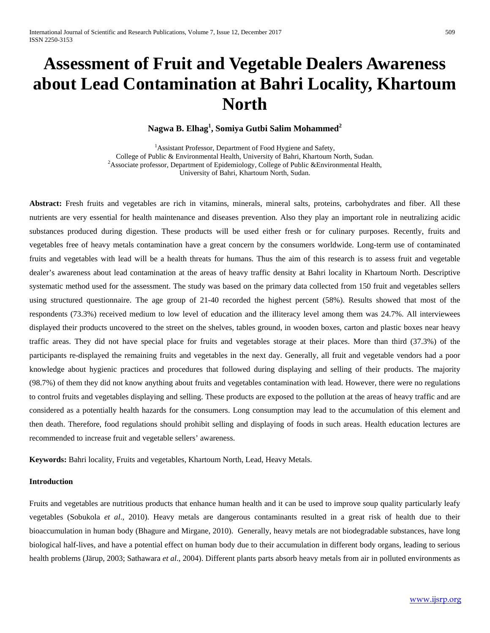# **Assessment of Fruit and Vegetable Dealers Awareness about Lead Contamination at Bahri Locality, Khartoum North**

## **Nagwa B. Elhag<sup>1</sup> , Somiya Gutbi Salim Mohammed<sup>2</sup>**

<sup>1</sup> Assistant Professor, Department of Food Hygiene and Safety, College of Public & Environmental Health, University of Bahri, Khartoum North, Sudan. <sup>2</sup> <sup>2</sup>Associate professor, Department of Epidemiology, College of Public &Environmental Health, University of Bahri, Khartoum North, Sudan.

**Abstract:** Fresh fruits and vegetables are rich in vitamins, minerals, mineral salts, proteins, carbohydrates and fiber. All these nutrients are very essential for health maintenance and diseases prevention. Also they play an important role in neutralizing acidic substances produced during digestion. These products will be used either fresh or for culinary purposes. Recently, fruits and vegetables free of heavy metals contamination have a great concern by the consumers worldwide. Long-term use of contaminated fruits and vegetables with lead will be a health threats for humans. Thus the aim of this research is to assess fruit and vegetable dealer's awareness about lead contamination at the areas of heavy traffic density at Bahri locality in Khartoum North. Descriptive systematic method used for the assessment. The study was based on the primary data collected from 150 fruit and vegetables sellers using structured questionnaire. The age group of 21-40 recorded the highest percent (58%). Results showed that most of the respondents (73.3%) received medium to low level of education and the illiteracy level among them was 24.7%. All interviewees displayed their products uncovered to the street on the shelves, tables ground, in wooden boxes, carton and plastic boxes near heavy traffic areas. They did not have special place for fruits and vegetables storage at their places. More than third (37.3%) of the participants re-displayed the remaining fruits and vegetables in the next day. Generally, all fruit and vegetable vendors had a poor knowledge about hygienic practices and procedures that followed during displaying and selling of their products. The majority (98.7%) of them they did not know anything about fruits and vegetables contamination with lead. However, there were no regulations to control fruits and vegetables displaying and selling. These products are exposed to the pollution at the areas of heavy traffic and are considered as a potentially health hazards for the consumers. Long consumption may lead to the accumulation of this element and then death. Therefore, food regulations should prohibit selling and displaying of foods in such areas. Health education lectures are recommended to increase fruit and vegetable sellers' awareness.

**Keywords:** Bahri locality, Fruits and vegetables, Khartoum North, Lead, Heavy Metals.

## **Introduction**

Fruits and vegetables are nutritious products that enhance human health and it can be used to improve soup quality particularly leafy vegetables (Sobukola *et al*., 2010). Heavy metals are dangerous contaminants resulted in a great risk of health due to their bioaccumulation in human body (Bhagure and Mirgane, 2010). Generally, heavy metals are not biodegradable substances, have long biological half-lives, and have a potential effect on human body due to their accumulation in different body organs, leading to serious health problems (Järup, 2003; Sathawara *et al*., 2004). Different plants parts absorb heavy metals from air in polluted environments as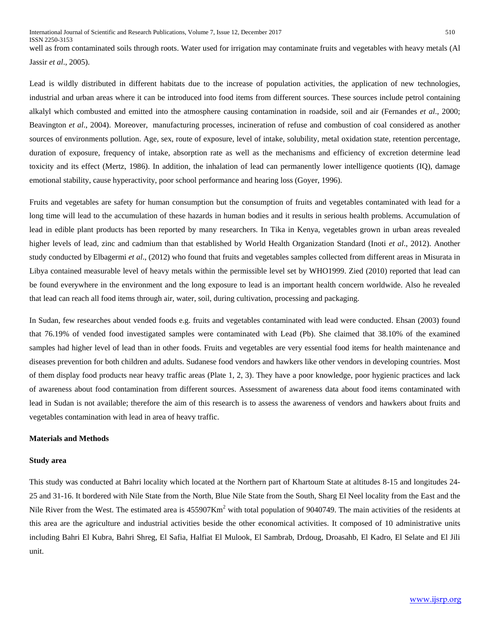well as from contaminated soils through roots. Water used for irrigation may contaminate fruits and vegetables with heavy metals (Al Jassir *et al*., 2005).

Lead is wildly distributed in different habitats due to the increase of population activities, the application of new technologies, industrial and urban areas where it can be introduced into food items from different sources. These sources include petrol containing alkalyl which combusted and emitted into the atmosphere causing contamination in roadside, soil and air (Fernandes *et al*., 2000; Beavington *et al*., 2004). Moreover, manufacturing processes, incineration of refuse and combustion of coal considered as another sources of environments pollution. Age, sex, route of exposure, level of intake, solubility, metal oxidation state, retention percentage, duration of exposure, frequency of intake, absorption rate as well as the mechanisms and efficiency of excretion determine lead toxicity and its effect (Mertz, 1986). In addition, the inhalation of lead can permanently lower intelligence quotients (IQ), damage emotional stability, cause hyperactivity, poor school performance and hearing loss (Goyer, 1996).

Fruits and vegetables are safety for human consumption but the consumption of fruits and vegetables contaminated with lead for a long time will lead to the accumulation of these hazards in human bodies and it results in serious health problems. Accumulation of lead in edible plant products has been reported by many researchers. In Tika in Kenya, vegetables grown in urban areas revealed higher levels of lead, zinc and cadmium than that established by World Health Organization Standard (Inoti *et al*., 2012). Another study conducted by Elbagermi *et al*., (2012) who found that fruits and vegetables samples collected from different areas in Misurata in Libya contained measurable level of heavy metals within the permissible level set by WHO1999. Zied (2010) reported that lead can be found everywhere in the environment and the long exposure to lead is an important health concern worldwide. Also he revealed that lead can reach all food items through air, water, soil, during cultivation, processing and packaging.

In Sudan, few researches about vended foods e.g. fruits and vegetables contaminated with lead were conducted. Ehsan (2003) found that 76.19% of vended food investigated samples were contaminated with Lead (Pb). She claimed that 38.10% of the examined samples had higher level of lead than in other foods. Fruits and vegetables are very essential food items for health maintenance and diseases prevention for both children and adults. Sudanese food vendors and hawkers like other vendors in developing countries. Most of them display food products near heavy traffic areas (Plate 1, 2, 3). They have a poor knowledge, poor hygienic practices and lack of awareness about food contamination from different sources. Assessment of awareness data about food items contaminated with lead in Sudan is not available; therefore the aim of this research is to assess the awareness of vendors and hawkers about fruits and vegetables contamination with lead in area of heavy traffic.

#### **Materials and Methods**

## **Study area**

This study was conducted at Bahri locality which located at the Northern part of Khartoum State at altitudes 8-15 and longitudes 24- 25 and 31-16. It bordered with Nile State from the North, Blue Nile State from the South, Sharg El Neel locality from the East and the Nile River from the West. The estimated area is  $455907 \text{Km}^2$  with total population of 9040749. The main activities of the residents at this area are the agriculture and industrial activities beside the other economical activities. It composed of 10 administrative units including Bahri El Kubra, Bahri Shreg, El Safia, Halfiat El Mulook, El Sambrab, Drdoug, Droasahb, El Kadro, El Selate and El Jili unit.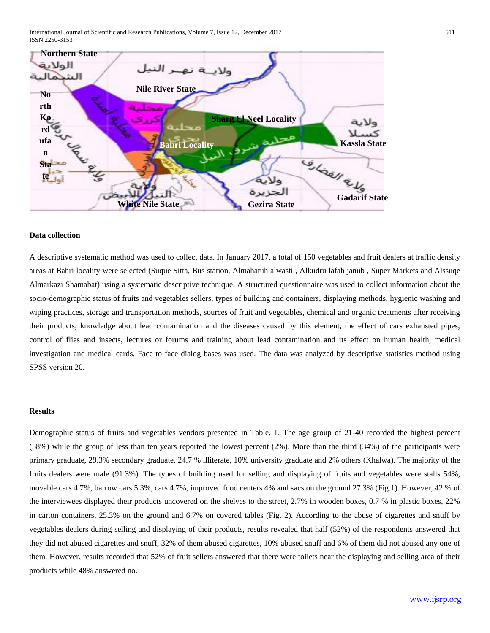International Journal of Scientific and Research Publications, Volume 7, Issue 12, December 2017 511 ISSN 2250-3153



#### **Data collection**

A descriptive systematic method was used to collect data. In January 2017, a total of 150 vegetables and fruit dealers at traffic density areas at Bahri locality were selected (Suque Sitta, Bus station, Almahatuh alwasti , Alkudru lafah janub , Super Markets and Alssuqe Almarkazi Shamabat) using a systematic descriptive technique. A structured questionnaire was used to collect information about the socio-demographic status of fruits and vegetables sellers, types of building and containers, displaying methods, hygienic washing and wiping practices, storage and transportation methods, sources of fruit and vegetables, chemical and organic treatments after receiving their products, knowledge about lead contamination and the diseases caused by this element, the effect of cars exhausted pipes, control of flies and insects, lectures or forums and training about lead contamination and its effect on human health, medical investigation and medical cards. Face to face dialog bases was used. The data was analyzed by descriptive statistics method using SPSS version 20.

#### **Results**

Demographic status of fruits and vegetables vendors presented in Table. 1. The age group of 21-40 recorded the highest percent (58%) while the group of less than ten years reported the lowest percent (2%). More than the third (34%) of the participants were primary graduate, 29.3% secondary graduate, 24.7 % illiterate, 10% university graduate and 2% others (Khalwa). The majority of the fruits dealers were male (91.3%). The types of building used for selling and displaying of fruits and vegetables were stalls 54%, movable cars 4.7%, barrow cars 5.3%, cars 4.7%, improved food centers 4% and sacs on the ground 27.3% (Fig.1). However, 42 % of the interviewees displayed their products uncovered on the shelves to the street, 2.7% in wooden boxes, 0.7 % in plastic boxes, 22% in carton containers, 25.3% on the ground and 6.7% on covered tables (Fig. 2). According to the abuse of cigarettes and snuff by vegetables dealers during selling and displaying of their products, results revealed that half (52%) of the respondents answered that they did not abused cigarettes and snuff, 32% of them abused cigarettes, 10% abused snuff and 6% of them did not abused any one of them. However, results recorded that 52% of fruit sellers answered that there were toilets near the displaying and selling area of their products while 48% answered no.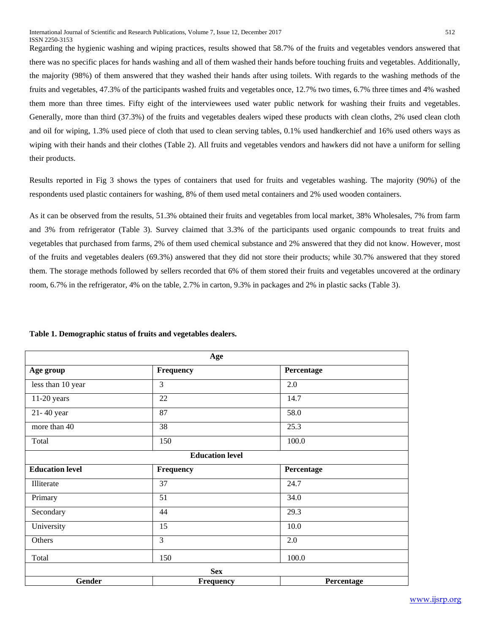Regarding the hygienic washing and wiping practices, results showed that 58.7% of the fruits and vegetables vendors answered that there was no specific places for hands washing and all of them washed their hands before touching fruits and vegetables. Additionally, the majority (98%) of them answered that they washed their hands after using toilets. With regards to the washing methods of the fruits and vegetables, 47.3% of the participants washed fruits and vegetables once, 12.7% two times, 6.7% three times and 4% washed them more than three times. Fifty eight of the interviewees used water public network for washing their fruits and vegetables. Generally, more than third (37.3%) of the fruits and vegetables dealers wiped these products with clean cloths, 2% used clean cloth and oil for wiping, 1.3% used piece of cloth that used to clean serving tables, 0.1% used handkerchief and 16% used others ways as wiping with their hands and their clothes (Table 2). All fruits and vegetables vendors and hawkers did not have a uniform for selling their products.

Results reported in Fig 3 shows the types of containers that used for fruits and vegetables washing. The majority (90%) of the respondents used plastic containers for washing, 8% of them used metal containers and 2% used wooden containers.

As it can be observed from the results, 51.3% obtained their fruits and vegetables from local market, 38% Wholesales, 7% from farm and 3% from refrigerator (Table 3). Survey claimed that 3.3% of the participants used organic compounds to treat fruits and vegetables that purchased from farms, 2% of them used chemical substance and 2% answered that they did not know. However, most of the fruits and vegetables dealers (69.3%) answered that they did not store their products; while 30.7% answered that they stored them. The storage methods followed by sellers recorded that 6% of them stored their fruits and vegetables uncovered at the ordinary room, 6.7% in the refrigerator, 4% on the table, 2.7% in carton, 9.3% in packages and 2% in plastic sacks (Table 3).

|  | Table 1. Demographic status of fruits and vegetables dealers. |  |
|--|---------------------------------------------------------------|--|
|  |                                                               |  |

| Age                    |                        |            |  |  |  |
|------------------------|------------------------|------------|--|--|--|
| Age group              | Frequency              | Percentage |  |  |  |
| less than 10 year      | $\overline{3}$         | 2.0        |  |  |  |
| $11-20$ years          | 22                     | 14.7       |  |  |  |
| 21-40 year             | 87                     | 58.0       |  |  |  |
| more than 40           | 38                     | 25.3       |  |  |  |
| Total                  | 150                    | 100.0      |  |  |  |
|                        | <b>Education level</b> |            |  |  |  |
| <b>Education level</b> | Frequency              | Percentage |  |  |  |
| Illiterate             | 37                     | 24.7       |  |  |  |
| Primary                | 51                     | 34.0       |  |  |  |
| Secondary              | 44                     | 29.3       |  |  |  |
| University             | 15                     | 10.0       |  |  |  |
| Others                 | $\overline{3}$         | 2.0        |  |  |  |
| Total                  | 150                    | 100.0      |  |  |  |
| <b>Sex</b>             |                        |            |  |  |  |
| <b>Gender</b>          | Frequency              | Percentage |  |  |  |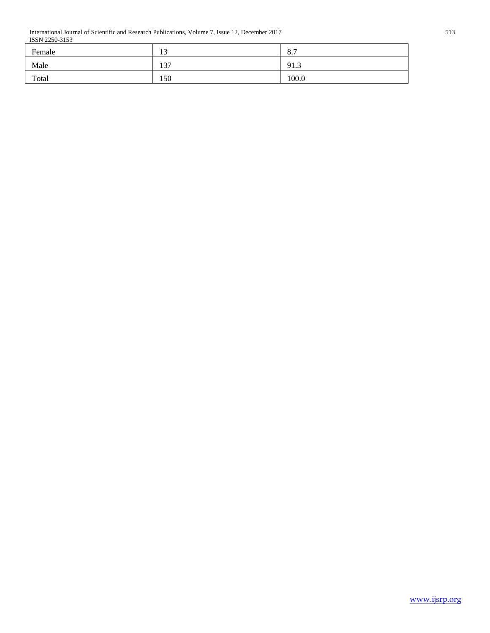International Journal of Scientific and Research Publications, Volume 7, Issue 12, December 2017 513 ISSN 2250-3153

| Female | 1 <sub>2</sub><br>IJ | O <sub>7</sub><br>O <sub>1</sub> |
|--------|----------------------|----------------------------------|
| Male   | 137                  | 91.3                             |
| Total  | 150                  | 100.0                            |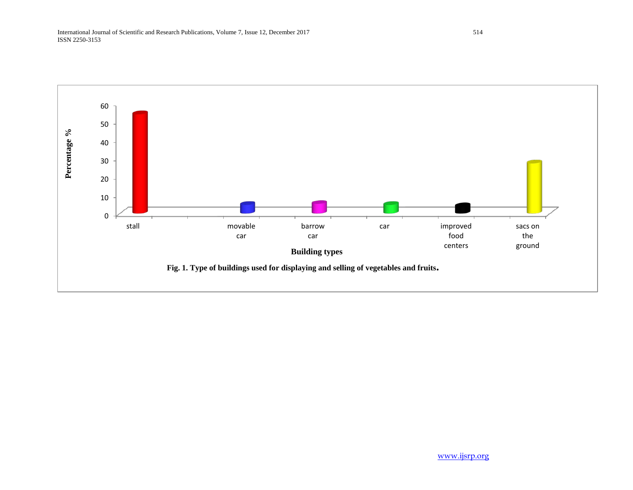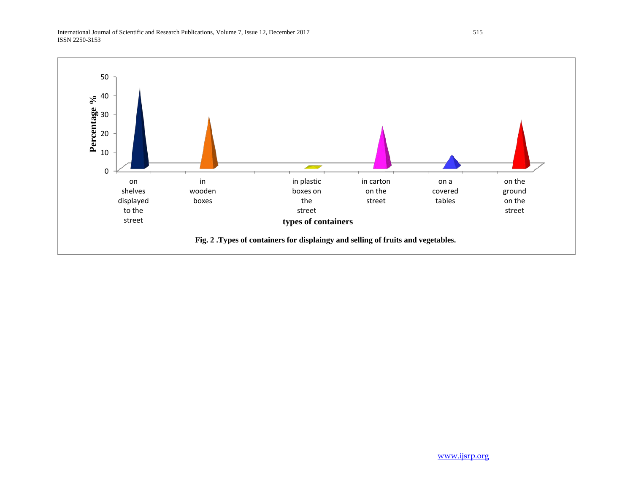International Journal of Scientific and Research Publications, Volume 7, Issue 12, December 2017 515 ISSN 2250-3153

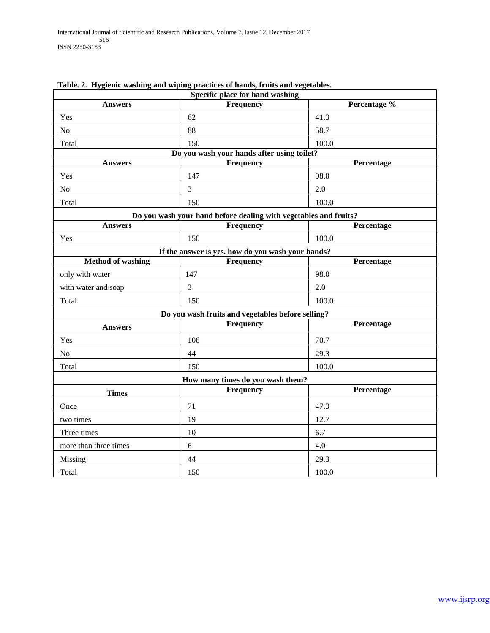| Specific place for hand washing |                                                                  |              |  |  |
|---------------------------------|------------------------------------------------------------------|--------------|--|--|
| <b>Answers</b>                  | Frequency                                                        | Percentage % |  |  |
| Yes                             | 62                                                               | 41.3         |  |  |
| No                              | 88                                                               | 58.7         |  |  |
| Total                           | 150                                                              | 100.0        |  |  |
|                                 | Do you wash your hands after using toilet?                       |              |  |  |
| <b>Answers</b>                  | Frequency                                                        | Percentage   |  |  |
| Yes                             | 147                                                              | 98.0         |  |  |
| N <sub>o</sub>                  | 3                                                                | 2.0          |  |  |
| Total                           | 150                                                              | 100.0        |  |  |
|                                 | Do you wash your hand before dealing with vegetables and fruits? |              |  |  |
| <b>Answers</b>                  | Frequency                                                        | Percentage   |  |  |
| Yes                             | 150                                                              | 100.0        |  |  |
|                                 | If the answer is yes, how do you wash your hands?                |              |  |  |
| <b>Method of washing</b>        | Frequency                                                        | Percentage   |  |  |
| only with water                 | 147                                                              | 98.0         |  |  |
| with water and soap             | 3                                                                | 2.0          |  |  |
| Total                           | 150                                                              | 100.0        |  |  |
|                                 | Do you wash fruits and vegetables before selling?                |              |  |  |
| <b>Answers</b>                  | Frequency                                                        | Percentage   |  |  |
| Yes                             | 106                                                              | 70.7         |  |  |
| N <sub>o</sub>                  | 44                                                               | 29.3         |  |  |
| Total                           | 150                                                              | 100.0        |  |  |
|                                 | How many times do you wash them?                                 |              |  |  |
| <b>Times</b>                    | Frequency                                                        | Percentage   |  |  |
| Once                            | 71                                                               | 47.3         |  |  |
| two times                       | 19                                                               | 12.7         |  |  |
| Three times                     | 10                                                               | 6.7          |  |  |
| more than three times           | 6                                                                | 4.0          |  |  |
| Missing                         | 44                                                               | 29.3         |  |  |
| Total                           | 150                                                              | 100.0        |  |  |

# **Table. 2. Hygienic washing and wiping practices of hands, fruits and vegetables.**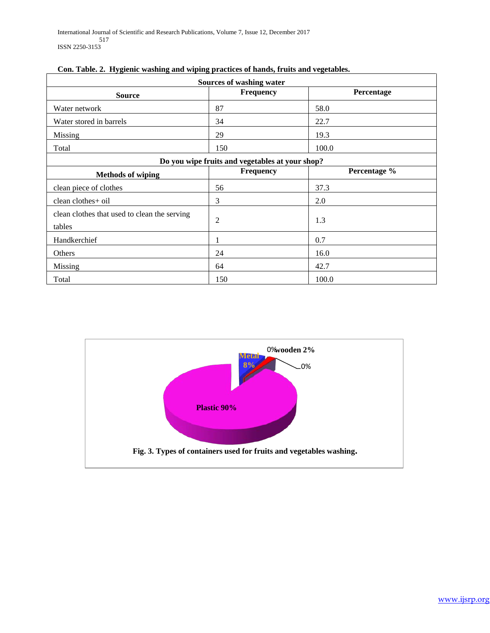| Sources of washing water                               |                                                 |              |  |  |
|--------------------------------------------------------|-------------------------------------------------|--------------|--|--|
| <b>Source</b>                                          | Frequency                                       | Percentage   |  |  |
| Water network                                          | 87                                              | 58.0         |  |  |
| Water stored in barrels                                | 34                                              | 22.7         |  |  |
| Missing                                                | 29                                              | 19.3         |  |  |
| Total                                                  | 150                                             | 100.0        |  |  |
|                                                        | Do you wipe fruits and vegetables at your shop? |              |  |  |
| <b>Methods of wiping</b>                               | <b>Frequency</b>                                | Percentage % |  |  |
| clean piece of clothes                                 | 56                                              | 37.3         |  |  |
| clean clothes+ oil                                     | 3                                               | 2.0          |  |  |
| clean clothes that used to clean the serving<br>tables | $\overline{2}$                                  | 1.3          |  |  |
| Handkerchief                                           |                                                 | 0.7          |  |  |
| Others                                                 | 24                                              | 16.0         |  |  |
| Missing                                                | 64                                              | 42.7         |  |  |
| Total                                                  | 150                                             | 100.0        |  |  |

| Con. Table. 2. Hygienic washing and wiping practices of hands, fruits and vegetables. |
|---------------------------------------------------------------------------------------|
|---------------------------------------------------------------------------------------|

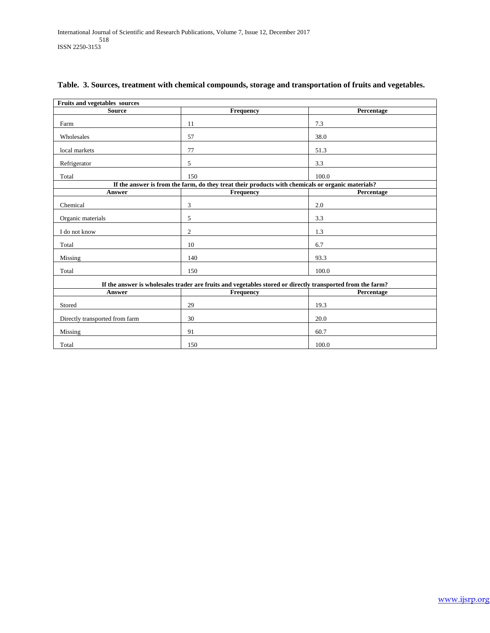| <b>Fruits and vegetables sources</b>                                                                       |                                                                                                   |            |  |  |
|------------------------------------------------------------------------------------------------------------|---------------------------------------------------------------------------------------------------|------------|--|--|
| <b>Source</b>                                                                                              | Frequency                                                                                         | Percentage |  |  |
| Farm                                                                                                       | 11                                                                                                | 7.3        |  |  |
| Wholesales                                                                                                 | 57                                                                                                | 38.0       |  |  |
| local markets                                                                                              | 77                                                                                                | 51.3       |  |  |
| Refrigerator                                                                                               | 5                                                                                                 | 3.3        |  |  |
| Total                                                                                                      | 150                                                                                               | 100.0      |  |  |
|                                                                                                            | If the answer is from the farm, do they treat their products with chemicals or organic materials? |            |  |  |
| Answer                                                                                                     | Frequency                                                                                         | Percentage |  |  |
| Chemical                                                                                                   | 3                                                                                                 | 2.0        |  |  |
| Organic materials                                                                                          | 5                                                                                                 | 3.3        |  |  |
| I do not know                                                                                              | $\overline{2}$                                                                                    | 1.3        |  |  |
| Total                                                                                                      | 10                                                                                                | 6.7        |  |  |
| Missing                                                                                                    | 140                                                                                               | 93.3       |  |  |
| Total                                                                                                      | 150                                                                                               | 100.0      |  |  |
| If the answer is wholesales trader are fruits and vegetables stored or directly transported from the farm? |                                                                                                   |            |  |  |
| Answer                                                                                                     | Frequency                                                                                         | Percentage |  |  |
| Stored                                                                                                     | 29                                                                                                | 19.3       |  |  |
| Directly transported from farm                                                                             | 30                                                                                                | 20.0       |  |  |
| Missing                                                                                                    | 91                                                                                                | 60.7       |  |  |
| Total                                                                                                      | 150                                                                                               | 100.0      |  |  |

# **Table. 3. Sources, treatment with chemical compounds, storage and transportation of fruits and vegetables.**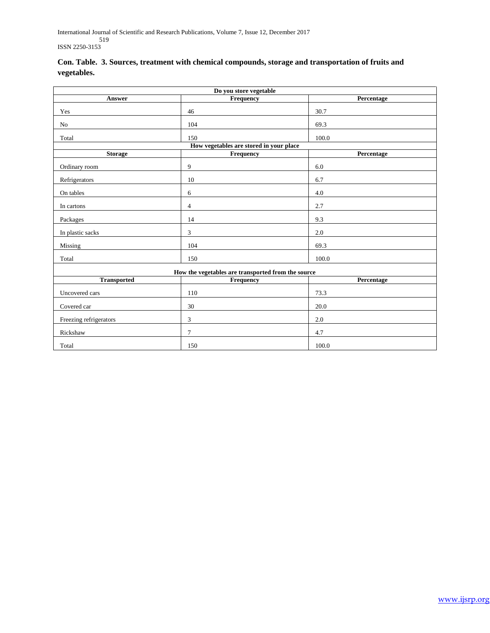International Journal of Scientific and Research Publications, Volume 7, Issue 12, December 2017 519 ISSN 2250-3153

|             | Con. Table. 3. Sources, treatment with chemical compounds, storage and transportation of fruits and |
|-------------|-----------------------------------------------------------------------------------------------------|
| vegetables. |                                                                                                     |

| Do you store vegetable                             |                                         |            |  |  |
|----------------------------------------------------|-----------------------------------------|------------|--|--|
| Answer                                             | Frequency                               | Percentage |  |  |
| Yes                                                | 46                                      | 30.7       |  |  |
| No                                                 | 104                                     | 69.3       |  |  |
| Total                                              | 150                                     | 100.0      |  |  |
|                                                    | How vegetables are stored in your place |            |  |  |
| <b>Storage</b>                                     | Frequency                               | Percentage |  |  |
| Ordinary room                                      | 9                                       | 6.0        |  |  |
| Refrigerators                                      | 10                                      | 6.7        |  |  |
| On tables                                          | 6                                       | 4.0        |  |  |
| In cartons                                         | 4                                       | 2.7        |  |  |
| Packages                                           | 14                                      | 9.3        |  |  |
| In plastic sacks                                   | 3                                       | 2.0        |  |  |
| Missing                                            | 104                                     | 69.3       |  |  |
| Total                                              | 150                                     | 100.0      |  |  |
| How the vegetables are transported from the source |                                         |            |  |  |
| <b>Transported</b>                                 | <b>Frequency</b>                        | Percentage |  |  |
| Uncovered cars                                     | 110                                     | 73.3       |  |  |
| Covered car                                        | 30                                      | 20.0       |  |  |
| Freezing refrigerators                             | 3                                       | 2.0        |  |  |
| Rickshaw                                           | $\overline{7}$                          | 4.7        |  |  |
| Total                                              | 150                                     | 100.0      |  |  |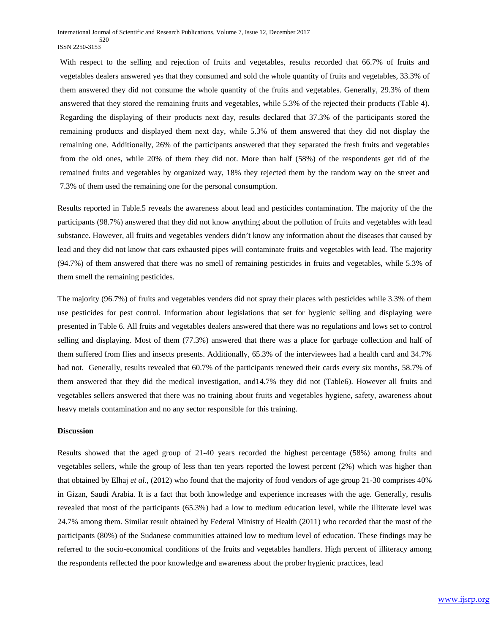With respect to the selling and rejection of fruits and vegetables, results recorded that 66.7% of fruits and vegetables dealers answered yes that they consumed and sold the whole quantity of fruits and vegetables, 33.3% of them answered they did not consume the whole quantity of the fruits and vegetables. Generally, 29.3% of them answered that they stored the remaining fruits and vegetables, while 5.3% of the rejected their products (Table 4). Regarding the displaying of their products next day, results declared that 37.3% of the participants stored the remaining products and displayed them next day, while 5.3% of them answered that they did not display the remaining one. Additionally, 26% of the participants answered that they separated the fresh fruits and vegetables from the old ones, while 20% of them they did not. More than half (58%) of the respondents get rid of the remained fruits and vegetables by organized way, 18% they rejected them by the random way on the street and 7.3% of them used the remaining one for the personal consumption.

Results reported in Table.5 reveals the awareness about lead and pesticides contamination. The majority of the the participants (98.7%) answered that they did not know anything about the pollution of fruits and vegetables with lead substance. However, all fruits and vegetables venders didn't know any information about the diseases that caused by lead and they did not know that cars exhausted pipes will contaminate fruits and vegetables with lead. The majority (94.7%) of them answered that there was no smell of remaining pesticides in fruits and vegetables, while 5.3% of them smell the remaining pesticides.

The majority (96.7%) of fruits and vegetables venders did not spray their places with pesticides while 3.3% of them use pesticides for pest control. Information about legislations that set for hygienic selling and displaying were presented in Table 6. All fruits and vegetables dealers answered that there was no regulations and lows set to control selling and displaying. Most of them (77.3%) answered that there was a place for garbage collection and half of them suffered from flies and insects presents. Additionally, 65.3% of the interviewees had a health card and 34.7% had not. Generally, results revealed that 60.7% of the participants renewed their cards every six months, 58.7% of them answered that they did the medical investigation, and14.7% they did not (Table6). However all fruits and vegetables sellers answered that there was no training about fruits and vegetables hygiene, safety, awareness about heavy metals contamination and no any sector responsible for this training.

### **Discussion**

Results showed that the aged group of 21-40 years recorded the highest percentage (58%) among fruits and vegetables sellers, while the group of less than ten years reported the lowest percent (2%) which was higher than that obtained by Elhaj *et al*., (2012) who found that the majority of food vendors of age group 21-30 comprises 40% in Gizan, Saudi Arabia. It is a fact that both knowledge and experience increases with the age. Generally, results revealed that most of the participants (65.3%) had a low to medium education level, while the illiterate level was 24.7% among them. Similar result obtained by Federal Ministry of Health (2011) who recorded that the most of the participants (80%) of the Sudanese communities attained low to medium level of education. These findings may be referred to the socio-economical conditions of the fruits and vegetables handlers. High percent of illiteracy among the respondents reflected the poor knowledge and awareness about the prober hygienic practices, lead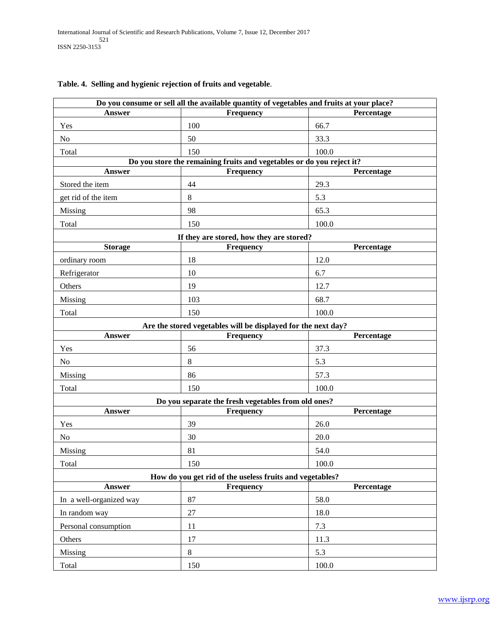| Do you consume or sell all the available quantity of vegetables and fruits at your place? |                                                                       |            |  |  |
|-------------------------------------------------------------------------------------------|-----------------------------------------------------------------------|------------|--|--|
| <b>Answer</b>                                                                             | Frequency                                                             | Percentage |  |  |
| Yes                                                                                       | 100                                                                   | 66.7       |  |  |
| No                                                                                        | 50                                                                    | 33.3       |  |  |
| Total                                                                                     | 150                                                                   | 100.0      |  |  |
|                                                                                           | Do you store the remaining fruits and vegetables or do you reject it? |            |  |  |
| Answer                                                                                    | Frequency                                                             | Percentage |  |  |
| Stored the item                                                                           | 44                                                                    | 29.3       |  |  |
| get rid of the item                                                                       | $8\,$                                                                 | 5.3        |  |  |
| <b>Missing</b>                                                                            | 98                                                                    | 65.3       |  |  |
| Total                                                                                     | 150                                                                   | 100.0      |  |  |
|                                                                                           | If they are stored, how they are stored?                              |            |  |  |
| <b>Storage</b>                                                                            | Frequency                                                             | Percentage |  |  |
| ordinary room                                                                             | 18                                                                    | 12.0       |  |  |
| Refrigerator                                                                              | 10                                                                    | 6.7        |  |  |
| Others                                                                                    | 19                                                                    | 12.7       |  |  |
| Missing                                                                                   | 103                                                                   | 68.7       |  |  |
| Total                                                                                     | 150                                                                   | 100.0      |  |  |
|                                                                                           | Are the stored vegetables will be displayed for the next day?         |            |  |  |
| Answer                                                                                    | <b>Frequency</b>                                                      | Percentage |  |  |
| Yes                                                                                       | 56                                                                    | 37.3       |  |  |
| No                                                                                        | $8\,$                                                                 | 5.3        |  |  |
| Missing                                                                                   | 86                                                                    | 57.3       |  |  |
| Total                                                                                     | 150                                                                   | 100.0      |  |  |
|                                                                                           | Do you separate the fresh vegetables from old ones?                   |            |  |  |
| <b>Answer</b>                                                                             | Frequency                                                             | Percentage |  |  |
| Yes                                                                                       | 39                                                                    | 26.0       |  |  |
| No                                                                                        | 30                                                                    | 20.0       |  |  |
| Missing                                                                                   | 81                                                                    | 54.0       |  |  |
| Total                                                                                     | 150                                                                   | 100.0      |  |  |
| How do you get rid of the useless fruits and vegetables?                                  |                                                                       |            |  |  |
| Answer                                                                                    | <b>Frequency</b>                                                      | Percentage |  |  |
| In a well-organized way                                                                   | 87                                                                    | 58.0       |  |  |
| In random way                                                                             | 27                                                                    | 18.0       |  |  |
| Personal consumption                                                                      | 11                                                                    | 7.3        |  |  |
| Others                                                                                    | 17                                                                    | 11.3       |  |  |
| Missing                                                                                   | $8\,$                                                                 | 5.3        |  |  |
| Total                                                                                     | 150                                                                   | 100.0      |  |  |

# **Table. 4. Selling and hygienic rejection of fruits and vegetable**.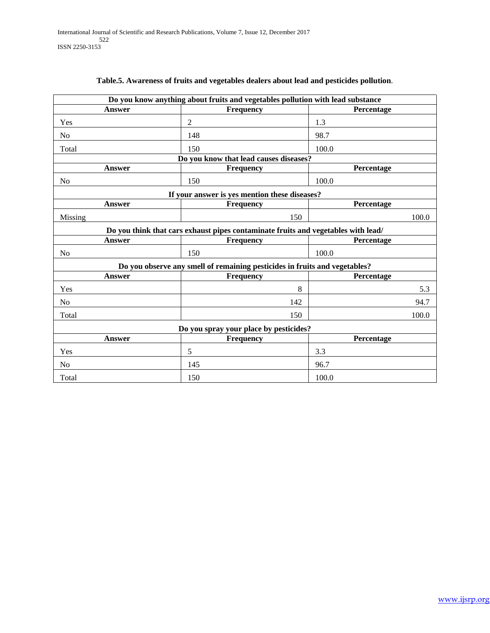| Do you know anything about fruits and vegetables pollution with lead substance |                                                                                   |            |  |  |  |
|--------------------------------------------------------------------------------|-----------------------------------------------------------------------------------|------------|--|--|--|
| <b>Answer</b>                                                                  | Frequency                                                                         | Percentage |  |  |  |
| Yes                                                                            | 2                                                                                 | 1.3        |  |  |  |
| N <sub>o</sub>                                                                 | 148                                                                               | 98.7       |  |  |  |
| Total                                                                          | 150                                                                               | 100.0      |  |  |  |
|                                                                                | Do you know that lead causes diseases?                                            |            |  |  |  |
| Answer                                                                         | <b>Frequency</b>                                                                  | Percentage |  |  |  |
| No                                                                             | 150                                                                               | 100.0      |  |  |  |
|                                                                                | If your answer is yes mention these diseases?                                     |            |  |  |  |
| Answer                                                                         | <b>Frequency</b>                                                                  | Percentage |  |  |  |
| Missing                                                                        | 150                                                                               | 100.0      |  |  |  |
|                                                                                | Do you think that cars exhaust pipes contaminate fruits and vegetables with lead/ |            |  |  |  |
| <b>Answer</b>                                                                  | <b>Frequency</b>                                                                  | Percentage |  |  |  |
| No                                                                             | 150                                                                               | 100.0      |  |  |  |
|                                                                                | Do you observe any smell of remaining pesticides in fruits and vegetables?        |            |  |  |  |
| Answer                                                                         | <b>Frequency</b>                                                                  | Percentage |  |  |  |
| Yes                                                                            | 8                                                                                 | 5.3        |  |  |  |
| N <sub>o</sub>                                                                 | 142                                                                               | 94.7       |  |  |  |
| Total                                                                          | 150                                                                               | 100.0      |  |  |  |
| Do you spray your place by pesticides?                                         |                                                                                   |            |  |  |  |
| <b>Answer</b>                                                                  | <b>Frequency</b>                                                                  | Percentage |  |  |  |
| Yes                                                                            | 5                                                                                 | 3.3        |  |  |  |
| No                                                                             | 145                                                                               | 96.7       |  |  |  |
| Total                                                                          | 150                                                                               | 100.0      |  |  |  |

## **Table.5. Awareness of fruits and vegetables dealers about lead and pesticides pollution**.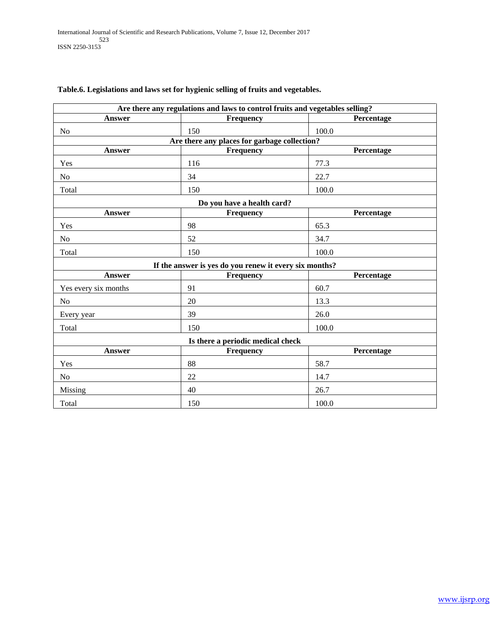| Are there any regulations and laws to control fruits and vegetables selling? |                                                        |            |  |  |
|------------------------------------------------------------------------------|--------------------------------------------------------|------------|--|--|
| Answer                                                                       | Frequency                                              | Percentage |  |  |
| N <sub>o</sub>                                                               | 150                                                    | 100.0      |  |  |
|                                                                              | Are there any places for garbage collection?           |            |  |  |
| <b>Answer</b>                                                                | Frequency                                              | Percentage |  |  |
| Yes                                                                          | 116                                                    | 77.3       |  |  |
| No                                                                           | 34                                                     | 22.7       |  |  |
| Total                                                                        | 150                                                    | 100.0      |  |  |
|                                                                              | Do you have a health card?                             |            |  |  |
| <b>Answer</b>                                                                | Frequency                                              | Percentage |  |  |
| Yes                                                                          | 98                                                     | 65.3       |  |  |
| N <sub>0</sub>                                                               | 52                                                     | 34.7       |  |  |
| Total                                                                        | 150                                                    | 100.0      |  |  |
|                                                                              | If the answer is yes do you renew it every six months? |            |  |  |
| <b>Answer</b>                                                                | Frequency                                              | Percentage |  |  |
| Yes every six months                                                         | 91                                                     | 60.7       |  |  |
| N <sub>o</sub>                                                               | 20                                                     | 13.3       |  |  |
| Every year                                                                   | 39                                                     | 26.0       |  |  |
| Total                                                                        | 150                                                    | 100.0      |  |  |
| Is there a periodic medical check                                            |                                                        |            |  |  |
| <b>Answer</b>                                                                | Frequency                                              | Percentage |  |  |
| Yes                                                                          | 88                                                     | 58.7       |  |  |
| No                                                                           | 22                                                     | 14.7       |  |  |
| Missing                                                                      | 40                                                     | 26.7       |  |  |
| Total                                                                        | 150                                                    | 100.0      |  |  |

## **Table.6. Legislations and laws set for hygienic selling of fruits and vegetables.**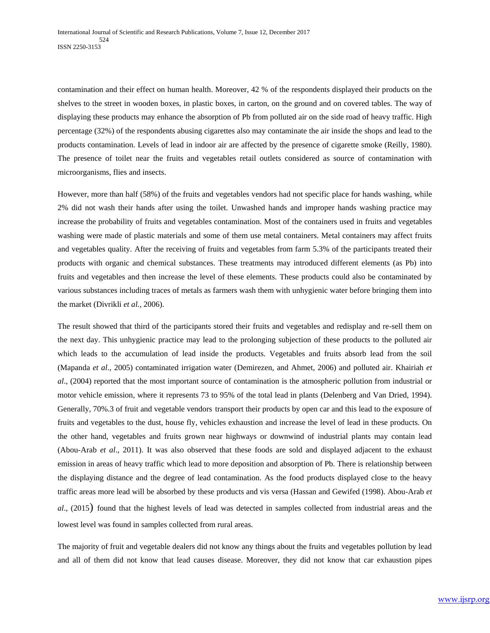contamination and their effect on human health. Moreover, 42 % of the respondents displayed their products on the shelves to the street in wooden boxes, in plastic boxes, in carton, on the ground and on covered tables. The way of displaying these products may enhance the absorption of Pb from polluted air on the side road of heavy traffic. High percentage (32%) of the respondents abusing cigarettes also may contaminate the air inside the shops and lead to the products contamination. Levels of lead in indoor air are affected by the presence of cigarette smoke (Reilly, 1980). The presence of toilet near the fruits and vegetables retail outlets considered as source of contamination with microorganisms, flies and insects.

However, more than half (58%) of the fruits and vegetables vendors had not specific place for hands washing, while 2% did not wash their hands after using the toilet. Unwashed hands and improper hands washing practice may increase the probability of fruits and vegetables contamination. Most of the containers used in fruits and vegetables washing were made of plastic materials and some of them use metal containers. Metal containers may affect fruits and vegetables quality. After the receiving of fruits and vegetables from farm 5.3% of the participants treated their products with organic and chemical substances. These treatments may introduced different elements (as Pb) into fruits and vegetables and then increase the level of these elements. These products could also be contaminated by various substances including traces of metals as farmers wash them with unhygienic water before bringing them into the market (Divrikli *et al.*, 2006).

The result showed that third of the participants stored their fruits and vegetables and redisplay and re-sell them on the next day. This unhygienic practice may lead to the prolonging subjection of these products to the polluted air which leads to the accumulation of lead inside the products. Vegetables and fruits absorb lead from the soil (Mapanda *et al*., 2005) contaminated irrigation water (Demirezen, and Ahmet, 2006) and polluted air. Khairiah *et al*., (2004) reported that the most important source of contamination is the atmospheric pollution from industrial or motor vehicle emission, where it represents 73 to 95% of the total lead in plants (Delenberg and Van Dried, 1994). Generally, 70%.3 of fruit and vegetable vendors transport their products by open car and this lead to the exposure of fruits and vegetables to the dust, house fly, vehicles exhaustion and increase the level of lead in these products. On the other hand, vegetables and fruits grown near highways or downwind of industrial plants may contain lead (Abou-Arab *et al*., 2011). It was also observed that these foods are sold and displayed adjacent to the exhaust emission in areas of heavy traffic which lead to more deposition and absorption of Pb. There is relationship between the displaying distance and the degree of lead contamination. As the food products displayed close to the heavy traffic areas more lead will be absorbed by these products and vis versa (Hassan and Gewifed (1998). Abou-Arab *et al*., (2015) found that the highest levels of lead was detected in samples collected from industrial areas and the lowest level was found in samples collected from rural areas.

The majority of fruit and vegetable dealers did not know any things about the fruits and vegetables pollution by lead and all of them did not know that lead causes disease. Moreover, they did not know that car exhaustion pipes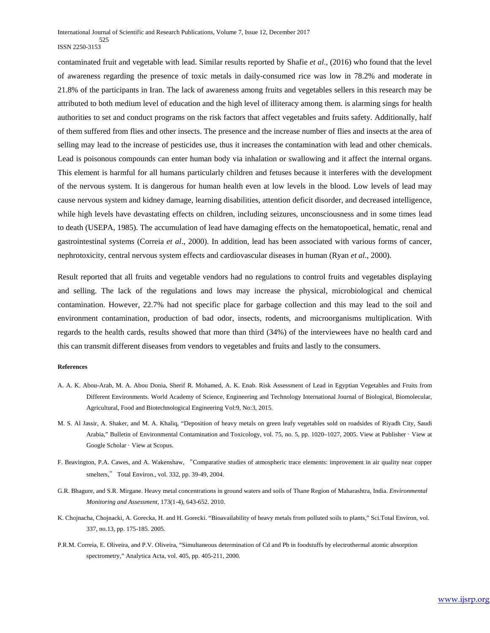contaminated fruit and vegetable with lead. Similar results reported by Shafie *et al*., (2016) who found that the level of awareness regarding the presence of toxic metals in daily-consumed rice was low in 78.2% and moderate in 21.8% of the participants in Iran. The lack of awareness among fruits and vegetables sellers in this research may be attributed to both medium level of education and the high level of illiteracy among them. is alarming sings for health authorities to set and conduct programs on the risk factors that affect vegetables and fruits safety. Additionally, half of them suffered from flies and other insects. The presence and the increase number of flies and insects at the area of selling may lead to the increase of pesticides use, thus it increases the contamination with lead and other chemicals. Lead is poisonous compounds can enter human body via inhalation or swallowing and it affect the internal organs. This element is harmful for all humans particularly children and fetuses because it interferes with the development of the nervous system. It is dangerous for human health even at low levels in the blood. Low levels of lead may cause nervous system and kidney damage, learning disabilities, attention deficit disorder, and decreased intelligence, while high levels have devastating effects on children, including seizures, unconsciousness and in some times lead to death (USEPA, 1985). The accumulation of lead have damaging effects on the hematopoetical, hematic, renal and gastrointestinal systems (Correia *et al*., 2000). In addition, lead has been associated with various forms of cancer, nephrotoxicity, central nervous system effects and cardiovascular diseases in human (Ryan *et al*., 2000).

Result reported that all fruits and vegetable vendors had no regulations to control fruits and vegetables displaying and selling. The lack of the regulations and lows may increase the physical, microbiological and chemical contamination. However, 22.7% had not specific place for garbage collection and this may lead to the soil and environment contamination, production of bad odor, insects, rodents, and microorganisms multiplication. With regards to the health cards, results showed that more than third (34%) of the interviewees have no health card and this can transmit different diseases from vendors to vegetables and fruits and lastly to the consumers.

#### **References**

- A. A. K. Abou-Arab, M. A. Abou Donia, Sherif R. Mohamed, A. K. Enab. Risk Assessment of Lead in Egyptian Vegetables and Fruits from Different Environments. World Academy of Science, Engineering and Technology International Journal of Biological, Biomolecular, Agricultural, Food and Biotechnological Engineering Vol:9, No:3, 2015.
- M. S. Al Jassir, A. Shaker, and M. A. Khaliq, "Deposition of heavy metals on green leafy vegetables sold on roadsides of Riyadh City, Saudi Arabia," Bulletin of Environmental Contamination and Toxicology, vol. 75, no. 5, pp. 1020–1027, 2005. View at Publisher · View at Google Scholar · View at Scopus.
- F. Beavington, P.A. Cawes, and A. Wakenshaw, "Comparative studies of atmospheric trace elements: improvement in air quality near copper smelters," Total Environ., vol. 332, pp. 39-49, 2004.
- G.R. Bhagure, and S.R. Mirgane. Heavy metal concentrations in ground waters and soils of Thane Region of Maharashtra, India. *Environmental Monitoring and Assessment*, 173(1-4), 643-652. 2010.
- K. Chojnacha, Chojnacki, A. Gorecka, H. and H. Gorecki. "Bioavailability of heavy metals from polluted soils to plants," Sci.Total Environ, vol. 337, no.13, pp. 175-185. 2005.
- P.R.M. Correia, E. Oliveira, and P.V. Oliveira, "Simultaneous determination of Cd and Pb in foodstuffs by electrothermal atomic absorption spectrometry," Analytica Acta, vol. 405, pp. 405-211, 2000.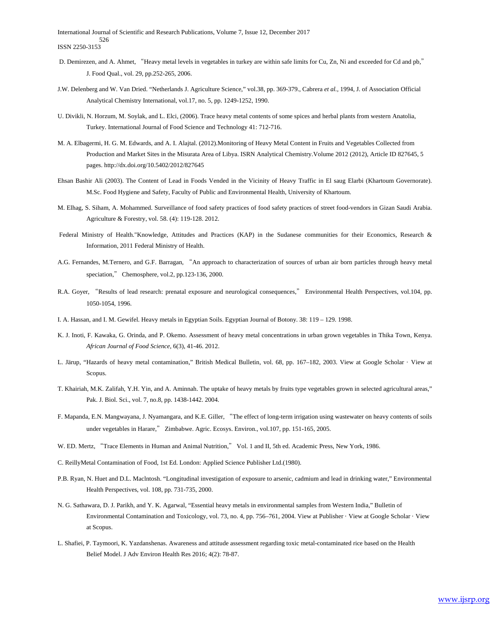International Journal of Scientific and Research Publications, Volume 7, Issue 12, December 2017 526 ISSN 2250-3153

- D. Demirezen, and A. Ahmet, "Heavy metal levels in vegetables in turkey are within safe limits for Cu, Zn, Ni and exceeded for Cd and pb," J. Food Qual., vol. 29, pp.252-265, 2006.
- J.W. Delenberg and W. Van Dried. "Netherlands J. Agriculture Science," vol.38, pp. 369-379., Cabrera *et al.,* 1994, J. of Association Official Analytical Chemistry International, vol.17, no. 5, pp. 1249-1252, 1990.
- U. Divikli, N. Horzum, M. Soylak, and L. Elci, (2006). Trace heavy metal contents of some spices and herbal plants from western Anatolia, Turkey. International Journal of Food Science and Technology 41: 712-716.
- M. A. Elbagermi, H. G. M. Edwards, and A. I. Alajtal. (2012).Monitoring of Heavy Metal Content in Fruits and Vegetables Collected from Production and Market Sites in the Misurata Area of Libya. ISRN Analytical Chemistry.Volume 2012 (2012), Article ID 827645, 5 pages. http://dx.doi.org/10.5402/2012/827645
- Ehsan Bashir Ali (2003). The Content of Lead in Foods Vended in the Vicinity of Heavy Traffic in El saug Elarbi (Khartoum Governorate). M.Sc. Food Hygiene and Safety, Faculty of Public and Environmental Health, University of Khartoum.
- M. Elhag, S. Siham, A. Mohammed. Surveillance of food safety practices of food safety practices of street food-vendors in Gizan Saudi Arabia. Agriculture & Forestry, vol. 58. (4): 119-128. 2012.
- Federal Ministry of Health."Knowledge, Attitudes and Practices (KAP) in the Sudanese communities for their Economics, Research & Information, 2011 Federal Ministry of Health.
- A.G. Fernandes, M.Ternero, and G.F. Barragan, "An approach to characterization of sources of urban air born particles through heavy metal speciation," Chemosphere, vol.2, pp.123-136, 2000.
- R.A. Goyer, "Results of lead research: prenatal exposure and neurological consequences," Environmental Health Perspectives, vol.104, pp. 1050-1054, 1996.
- I. A. Hassan, and I. M. Gewifel. Heavy metals in Egyptian Soils. Egyptian Journal of Botony. 38: 119 129. 1998.
- K. J. Inoti, F. Kawaka, G. Orinda, and P. Okemo. Assessment of heavy metal concentrations in urban grown vegetables in Thika Town, Kenya. *African Journal of Food Science*, 6(3), 41-46. 2012.
- L. Järup, "Hazards of heavy metal contamination," British Medical Bulletin, vol. 68, pp. 167–182, 2003. View at Google Scholar · View at Scopus.
- T. Khairiah, M.K. Zalifah, Y.H. Yin, and A. Aminnah. The uptake of heavy metals by fruits type vegetables grown in selected agricultural areas," Pak. J. Biol. Sci., vol. 7, no.8, pp. 1438-1442. 2004.
- F. Mapanda, E.N. Mangwayana, J. Nyamangara, and K.E. Giller, "The effect of long-term irrigation using wastewater on heavy contents of soils under vegetables in Harare," Zimbabwe. Agric. Ecosys. Environ., vol.107, pp. 151-165, 2005.
- W. ED. Mertz, "Trace Elements in Human and Animal Nutrition," Vol. 1 and II, 5th ed. Academic Press, New York, 1986.
- C. ReillyMetal Contamination of Food, 1st Ed. London: Applied Science Publisher Ltd.(1980).
- P.B. Ryan, N. Huet and D.L. Maclntosh. "Longitudinal investigation of exposure to arsenic, cadmium and lead in drinking water," Environmental Health Perspectives, vol. 108, pp. 731-735, 2000.
- N. G. Sathawara, D. J. Parikh, and Y. K. Agarwal, "Essential heavy metals in environmental samples from Western India," Bulletin of Environmental Contamination and Toxicology, vol. 73, no. 4, pp. 756–761, 2004. View at Publisher · View at Google Scholar · View at Scopus.
- L. Shafiei, P. Taymoori, K. Yazdanshenas. Awareness and attitude assessment regarding toxic metal-contaminated rice based on the Health Belief Model. J Adv Environ Health Res 2016; 4(2): 78-87.